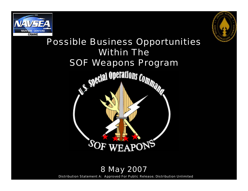



# Possible Business Opportunities Within The SOF Weapons ProgramSpecial Operations Command SOF WEAPONS

#### 8 May 2007

Distribution Statement A: Approved For Public Release; Distribution Unlimited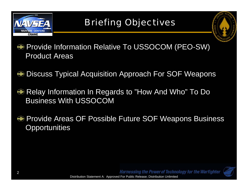

### Briefing Objectives



- Provide Information Relative To USSOCOM (PEO-SW) Product Areas
- **Discuss Typical Acquisition Approach For SOF Weapons**
- **E** Relay Information In Regards to "How And Who" To Do Business With USSOCOM
- **Provide Areas OF Possible Future SOF Weapons Business Opportunities**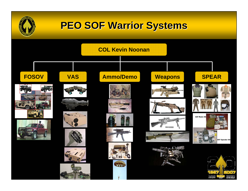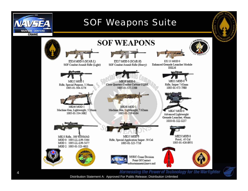

Distribution Statement A: Approved For Public Release; Distribution Unlimited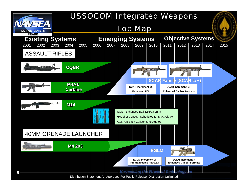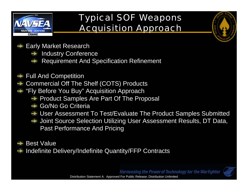

# Typical SOF Weapons Acquisition Approach



- **<del>●</del>** Early Market Research
	- Industry Conference
	- Requirement And Specification Refinement
- **Full And Competition**
- Commercial Off The Shelf (COTS) Products  $\bigcirc$
- **"Fly Before You Buy" Acquisition Approach** 
	- **Product Samples Are Part Of The Proposal**
	- **Go/No Go Criteria**
	- **User Assessment To Test/Evaluate The Product Samples Submitted**
	- Joint Source Selection Utilizing User Assessment Results, DT Data, Past Performance And Pricing
- **<sup>●</sup> Best Value**
- **■** Indefinite Delivery/Indefinite Quantity/FFP Contracts

**Harnessing the Power of Technology for the Warfighter** 

Distribution Statement A: Approved For Public Release; Distribution Unlimited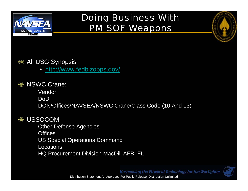

# Doing Business With PM SOF Weapons



#### All USG Synopsis:

- http://www.fedbizopps.gov/
- **<sup>●</sup> NSWC Crane:** 
	- Vendor
	- DoD
	- DON/Offices/NAVSEA/NSWC Crane/Class Code (10 And 13)



Other Defense Agencies **Offices** US Special Operations Command LocationsHQ Procurement Division MacDill AFB, FL

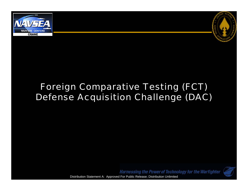



# Foreign Comparative Testing (FCT) Defense Acquisition Challenge (DAC)

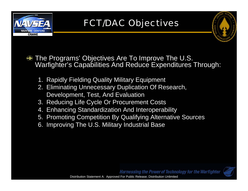

#### FCT/DAC Objectives



- The Programs' Objectives Are To Improve The U.S. Warfighter's Capabilities And Reduce Expenditures Through:
	- 1. Rapidly Fielding Quality Military Equipment
	- 2. Eliminating Unnecessary Duplication Of Research, Development, Test, And Evaluation
	- 3. Reducing Life Cycle Or Procurement Costs
	- 4. Enhancing Standardization And Interoperability
	- 5. Promoting Competition By Qualifying Alternative Sources
	- 6. Improving The U.S. Military Industrial Base

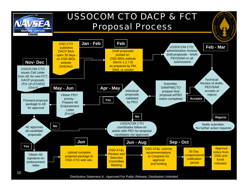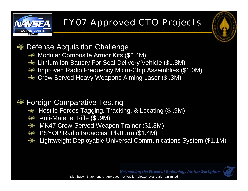

# FY07 Approved CTO Projects



- $\bigcirc$  Defense Acquisition Challenge
	- **Modular Composite Armor Kits (\$2.4M)**
	- Lithium Ion Battery For Seal Delivery Vehicle (\$1.8M)
	- Improved Radio Frequency Micro-Chip Assemblies (\$1.0M)
	- Crew Served Heavy Weapons Aiming Laser (\$.3M)

#### **● Foreign Comparative Testing**

- Hostile Forces Tagging, Tracking, & Locating (\$ .9M)
- Anti-Materiel Rifle (\$ .9M)
- MK47 Crew-Served Weapon Trainer (\$1.3M)
- **PSYOP Radio Broadcast Platform (\$1.4M)**
- Lightweight Deployable Universal Communications System (\$1.1M)

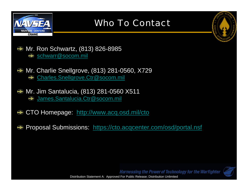

#### Who To Contact



**● Mr. Ron Schwartz, (813) 826-8985** Schwarr@socom.mil

**● Mr. Charlie Snellgrove, (813) 281-0560, X729** Charles.Snellgrove.Ctr@socom.mil

**● Mr. Jim Santalucia, (813) 281-0560 X511**  $\bigcirc$  James.Santalucia.Ctr@socom.mil

**Solution CTO Homepage: http://www.acq.osd.mil/cto** 

Proposal Submissions: https://cto.acqcenter.com/osd/portal.nsf

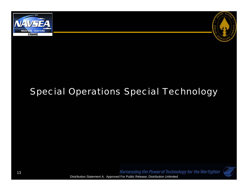



#### Special Operations Special Technology

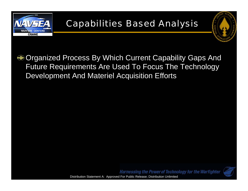

**● Organized Process By Which Current Capability Gaps And** Future Requirements Are Used To Focus The Technology Development And Materiel Acquisition Efforts



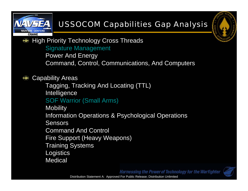

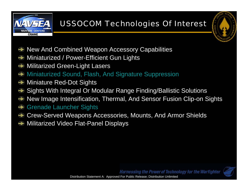

#### USSOCOM Technologies Of Interest



- **New And Combined Weapon Accessory Capabilities**
- **Miniaturized / Power-Efficient Gun Lights**
- $\bigcirc$  Militarized Green-Light Lasers
- Miniaturized Sound, Flash, And Signature Suppression
- **Miniature Red-Dot Sights**
- **Sights With Integral Or Modular Range Finding/Ballistic Solutions**
- **New Image Intensification, Thermal, And Sensor Fusion Clip-on Sights**
- **<sup>●</sup> Grenade Launcher Sights**
- Crew-Served Weapons Accessories, Mounts, And Armor Shields  $\bigcirc$
- **■** Militarized Video Flat-Panel Displays

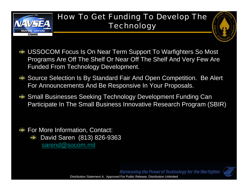

#### How To Get Funding To Develop The **Technology**



- **USSOCOM Focus Is On Near Term Support To Warfighters So Most** Programs Are Off The Shelf Or Near Off The Shelf And Very Few Are Funded From Technology Development.
- **Source Selection Is By Standard Fair And Open Competition. Be Alert** For Announcements And Be Responsive In Your Proposals.
- Small Businesses Seeking Technology Development Funding Can Participate In The Small Business Innovative Research Program (SBIR)
- For More Information, Contact:  $\bigcirc$ 
	- David Saren (813) 826-9363  $\bigcirc$ sarend@socom.mil

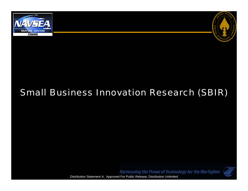



#### Small Business Innovation Research (SBIR)

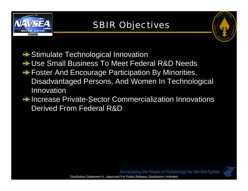

#### **SBIR Objectives**



- **Stimulate Technological Innovation**
- Use Small Business To Meet Federal R&D Needs
- **Foster And Encourage Participation By Minorities,** Disadvantaged Persons, And Women In Technological Innovation
- Increase Private-Sector Commercialization Innovations Derived From Federal R&D

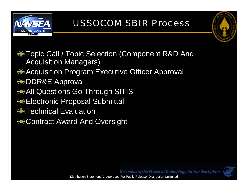

#### USSOCOM SBIR Process



**● Topic Call / Topic Selection (Component R&D And** Acquisition Managers) **Acquisition Program Executive Officer Approval DDR&E Approval** All Questions Go Through SITIS **<del>●</del>** Electronic Proposal Submittal Technical Evaluation **● Contract Award And Oversight** 

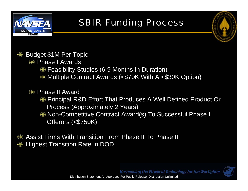

# **SBIR Funding Process**



**● Budget \$1M Per Topic** 

- **Solution Phase I Awards** 
	- **Feasibility Studies (6-9 Months In Duration)**
	- **Multiple Contract Awards (<\$70K With A <\$30K Option)**

**A** Phase II Award

- **Principal R&D Effort That Produces A Well Defined Product Or** Process (Approximately 2 Years)
- Non-Competitive Contract Award(s) To Successful Phase I Offerors (<\$750K)
- Assist Firms With Transition From Phase II To Phase III **Highest Transition Rate In DOD**

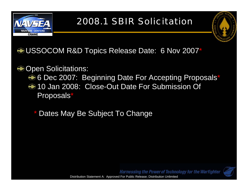

#### 2008.1 SBIR Solicitation



USSOCOM R&D Topics Release Date: 6 Nov 2007 \*

#### **<sup>●</sup>Open Solicitations:**

- 6 Dec 2007: Beginning Date For Accepting Proposals \***<sup>●</sup>10 Jan 2008: Close-Out Date For Submission Of** Proposals \*
	- \*Dates May Be Subject To Change

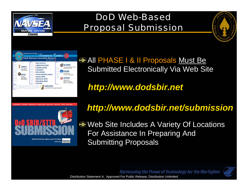# DoDWeb-Based Proposal Submission





Enter the First Few Letters of your Firm Name

**WARFARE CENTERS CRANE** 

> All PHASE I & II Proposals Must Be Submitted Electronically Via Web Site

*http://www.dodsbir.net*





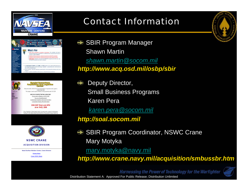

# Contact Information





NSWC CRANEACQUISITION DIVISION

**Naval Surface Warfare Center, Crane Division**

**Privacy Policy** *Crane NSWC Home* **SBIR Program Manager** 

Shawn Martin

*shawn.martin@socom.mil http://www.acq.osd.mil/osbp/sbir*

**Deputy Director,** Small Business Programs Karen Pera

*karen.pera@socom.mil*

*http://soal.socom.mil*

**● SBIR Program Coordinator, NSWC Crane** Mary Motyka mary.motyka@navy.mil

*http://www.crane.navy.mil/acquisition/smbussbr.htm*

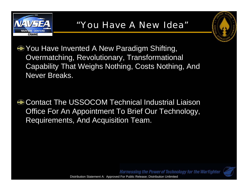

#### "You Have A New Idea"



- **You Have Invented A New Paradigm Shifting,** Overmatching, Revolutionary, Transformational Capability That Weighs Nothing, Costs Nothing, And Never Breaks.
- **Contact The USSOCOM Technical Industrial Liaison** Office For An Appointment To Brief Our Technology, Requirements, And Acquisition Team.

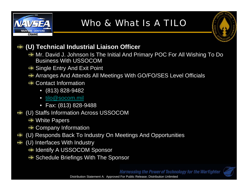

# Who & What Is A TILO



#### **(U) Technical Industrial Liaison Officer**

- Mr. David J. Johnson Is The Initial And Primary POC For All Wishing To Do Business With USSOCOM
- **Single Entry And Exit Point**
- Arranges And Attends All Meetings With GO/FO/SES Level Officials
- **← Contact Information** 
	- (813) 828-9482
	- tilo@socom.mil
	- Fax: (813) 828-9488
- (U) Staffs Information Across USSOCOM
	- **<sup>●</sup>** White Papers
	- **← Company Information**
- (U) Responds Back To Industry On Meetings And Opportunities
- **→ (U) Interfaces With Industry** 
	- **Identify A USSOCOM Sponsor**
	- **Schedule Briefings With The Sponsor**

**Harnessing the Power of Technology for the Warfighter** 

Distribution Statement A: Approved For Public Release; Distribution Unlimited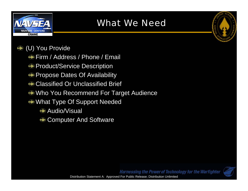

#### What We Need



#### **→ (U) You Provide**

- **<del>●</del>Firm / Address / Phone / Email**
- **Product/Service Description**
- **Propose Dates Of Availability**
- **Classified Or Unclassified Brief**
- Who You Recommend For Target Audience
- **<sup>●</sup>What Type Of Support Needed** 
	- **Audio/Visual**
	- **Computer And Software**

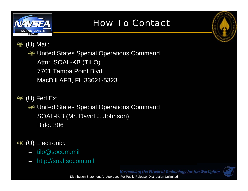

# How To Contact



 $\bigcirc$  (U) Mail:

 $\bigcirc$  United States Special Operations Command Attn: SOAL-KB (TILO) 7701 Tampa Point Blvd. MacDill AFB, FL 33621-5323

 $\bigcirc$  (U) Fed Ex:

 $\bigcirc$  United States Special Operations Command SOAL-KB (Mr. David J. Johnson) Bldg. 306

#### **→ (U) Electronic:**

- tilo@socom.mil
- http://soal.socom.mil

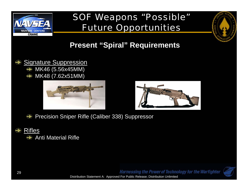

# SOF Weapons "Possible" Future Opportunities

#### **Present "Spiral" Requirements**



**● MK46 (5.56x45MM)** MK48 (7.62x51MM)





Precision Sniper Rifle (Caliber 338) Suppressor  $\bigcirc$ 



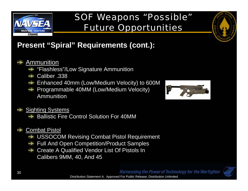

# SOF Weapons "Possible" Future Opportunities



#### **Present "Spiral" Requirements (cont.):**

#### Ammunition

- **S** "Flashless"/Low Signature Ammunition
- Caliber .338
- **Enhanced 40mm (Low/Medium Velocity) to 600M**
- **Programmable 40MM (Low/Medium Velocity)** Ammunition

#### **Sighting Systems**

Ballistic Fire Control Solution For 40MM

#### $\bigcirc$ Combat Pistol

- **USSOCOM Revising Combat Pistol Requirement**
- **EXECUTE:** Full And Open Competition/Product Samples
- Create A Qualified Vendor List Of Pistols In Calibers 9MM, 40, And 45



Distribution Statement A: Approved For Public Release; Distribution Unlimited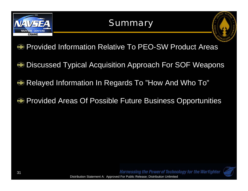

#### **Summary**



- Provided Information Relative To PEO-SW Product Areas
- Discussed Typical Acquisition Approach For SOF Weapons
- Relayed Information In Regards To "How And Who To"
- Provided Areas Of Possible Future Business Opportunities